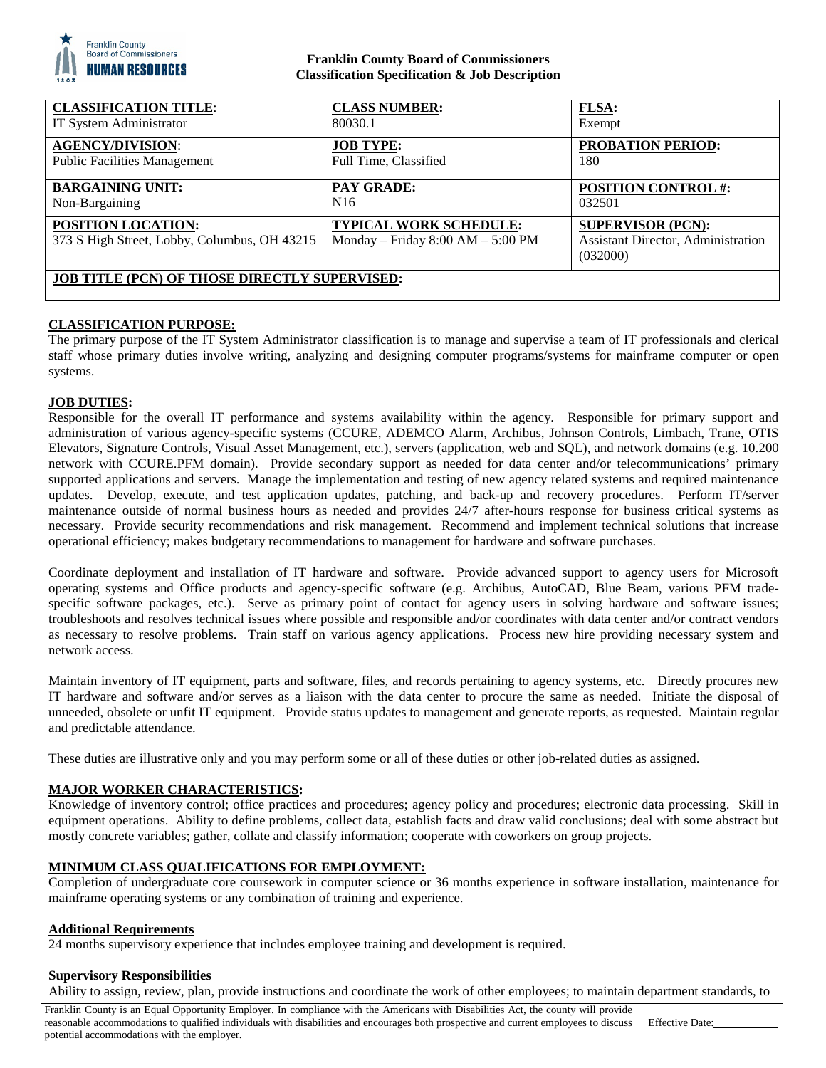

## **Franklin County Board of Commissioners Classification Specification & Job Description**

| <b>CLASSIFICATION TITLE:</b>                                       | <b>CLASS NUMBER:</b>                                                   | <b>FLSA:</b>                                                                      |
|--------------------------------------------------------------------|------------------------------------------------------------------------|-----------------------------------------------------------------------------------|
| IT System Administrator                                            | 80030.1                                                                | Exempt                                                                            |
| <b>AGENCY/DIVISION:</b>                                            | <b>JOB TYPE:</b>                                                       | <b>PROBATION PERIOD:</b>                                                          |
| <b>Public Facilities Management</b>                                | Full Time, Classified                                                  | 180                                                                               |
| <b>BARGAINING UNIT:</b>                                            | <b>PAY GRADE:</b>                                                      | <b>POSITION CONTROL #:</b>                                                        |
| Non-Bargaining                                                     | N <sub>16</sub>                                                        | 032501                                                                            |
| POSITION LOCATION:<br>373 S High Street, Lobby, Columbus, OH 43215 | <b>TYPICAL WORK SCHEDULE:</b><br>Monday – Friday $8:00$ AM – $5:00$ PM | <b>SUPERVISOR (PCN):</b><br><b>Assistant Director, Administration</b><br>(032000) |
| <b>JOB TITLE (PCN) OF THOSE DIRECTLY SUPERVISED:</b>               |                                                                        |                                                                                   |

## **CLASSIFICATION PURPOSE:**

The primary purpose of the IT System Administrator classification is to manage and supervise a team of IT professionals and clerical staff whose primary duties involve writing, analyzing and designing computer programs/systems for mainframe computer or open systems.

## **JOB DUTIES:**

Responsible for the overall IT performance and systems availability within the agency. Responsible for primary support and administration of various agency-specific systems (CCURE, ADEMCO Alarm, Archibus, Johnson Controls, Limbach, Trane, OTIS Elevators, Signature Controls, Visual Asset Management, etc.), servers (application, web and SQL), and network domains (e.g. 10.200 network with CCURE.PFM domain). Provide secondary support as needed for data center and/or telecommunications' primary supported applications and servers. Manage the implementation and testing of new agency related systems and required maintenance updates. Develop, execute, and test application updates, patching, and back-up and recovery procedures. Perform IT/server maintenance outside of normal business hours as needed and provides 24/7 after-hours response for business critical systems as necessary. Provide security recommendations and risk management. Recommend and implement technical solutions that increase operational efficiency; makes budgetary recommendations to management for hardware and software purchases.

Coordinate deployment and installation of IT hardware and software. Provide advanced support to agency users for Microsoft operating systems and Office products and agency-specific software (e.g. Archibus, AutoCAD, Blue Beam, various PFM tradespecific software packages, etc.). Serve as primary point of contact for agency users in solving hardware and software issues; troubleshoots and resolves technical issues where possible and responsible and/or coordinates with data center and/or contract vendors as necessary to resolve problems. Train staff on various agency applications. Process new hire providing necessary system and network access.

Maintain inventory of IT equipment, parts and software, files, and records pertaining to agency systems, etc. Directly procures new IT hardware and software and/or serves as a liaison with the data center to procure the same as needed. Initiate the disposal of unneeded, obsolete or unfit IT equipment. Provide status updates to management and generate reports, as requested. Maintain regular and predictable attendance.

These duties are illustrative only and you may perform some or all of these duties or other job-related duties as assigned.

## **MAJOR WORKER CHARACTERISTICS:**

Knowledge of inventory control; office practices and procedures; agency policy and procedures; electronic data processing. Skill in equipment operations. Ability to define problems, collect data, establish facts and draw valid conclusions; deal with some abstract but mostly concrete variables; gather, collate and classify information; cooperate with coworkers on group projects.

## **MINIMUM CLASS QUALIFICATIONS FOR EMPLOYMENT:**

Completion of undergraduate core coursework in computer science or 36 months experience in software installation, maintenance for mainframe operating systems or any combination of training and experience.

#### **Additional Requirements**

24 months supervisory experience that includes employee training and development is required.

#### **Supervisory Responsibilities**

Ability to assign, review, plan, provide instructions and coordinate the work of other employees; to maintain department standards, to